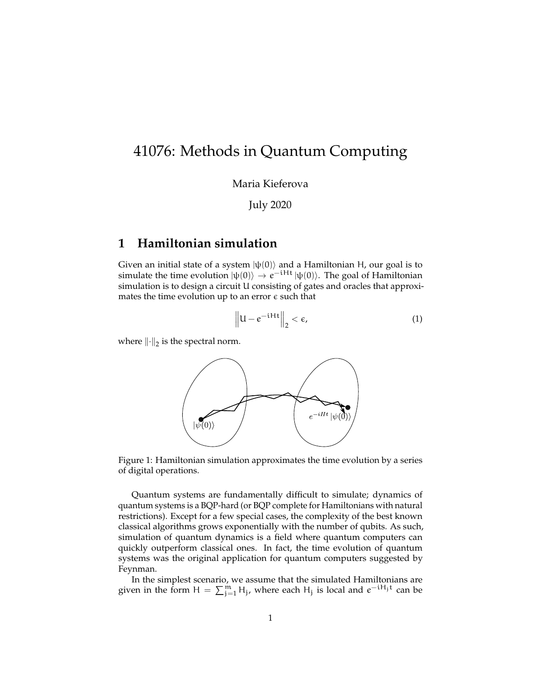# 41076: Methods in Quantum Computing

Maria Kieferova

July 2020

# **1 Hamiltonian simulation**

Given an initial state of a system  $|\psi(0)\rangle$  and a Hamiltonian H, our goal is to simulate the time evolution  $|\psi(0)\rangle \rightarrow e^{-iHt} |\psi(0)\rangle$ . The goal of Hamiltonian simulation is to design a circuit U consisting of gates and oracles that approximates the time evolution up to an error  $\epsilon$  such that

$$
\left\|U - e^{-iHt}\right\|_2 < \epsilon,\tag{1}
$$

where  $\left\Vert \cdot\right\Vert _{2}$  is the spectral norm.



Figure 1: Hamiltonian simulation approximates the time evolution by a series of digital operations.

Quantum systems are fundamentally difficult to simulate; dynamics of quantum systems is a BQP-hard (or BQP complete for Hamiltonians with natural restrictions). Except for a few special cases, the complexity of the best known classical algorithms grows exponentially with the number of qubits. As such, simulation of quantum dynamics is a field where quantum computers can quickly outperform classical ones. In fact, the time evolution of quantum systems was the original application for quantum computers suggested by Feynman.

In the simplest scenario, we assume that the simulated Hamiltonians are given in the form  $H = \sum_{j=1}^{m} H_j$ , where each  $H_j$  is local and  $e^{-iH_jt}$  can be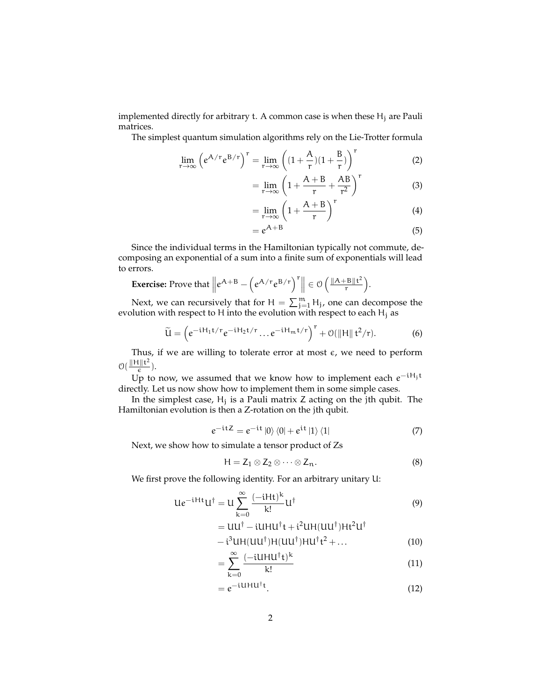implemented directly for arbitrary t. A common case is when these  $H_j$  are Pauli matrices.

The simplest quantum simulation algorithms rely on the Lie-Trotter formula

$$
\lim_{r \to \infty} \left( e^{A/r} e^{B/r} \right)^r = \lim_{r \to \infty} \left( (1 + \frac{A}{r})(1 + \frac{B}{r}) \right)^r
$$
 (2)

$$
= \lim_{r \to \infty} \left( 1 + \frac{A + B}{r} + \frac{AB}{r^2} \right)^r
$$
 (3)

$$
= \lim_{r \to \infty} \left( 1 + \frac{A + B}{r} \right)^r \tag{4}
$$

$$
=e^{A+B} \tag{5}
$$

Since the individual terms in the Hamiltonian typically not commute, decomposing an exponential of a sum into a finite sum of exponentials will lead to errors.

**Exercise:** Prove that 
$$
||e^{A+B} - (e^{A/r}e^{B/r})^T|| \in \mathcal{O}\left(\frac{||A+B||t^2}{r}\right)
$$
.

Next, we can recursively that for  $H = \sum_{j=1}^{m} H_j$ , one can decompose the evolution with respect to H into the evolution with respect to each  $H_i$  as

$$
\widetilde{\mathbf{U}} = \left(e^{-iH_1t/r}e^{-iH_2t/r}\dots e^{-iH_mt/r}\right)^r + \mathcal{O}(\|\mathbf{H}\| \mathbf{t}^2/r). \tag{6}
$$

Thus, if we are willing to tolerate error at most  $\epsilon$ , we need to perform  $\mathcal{O}(\frac{\Vert \mathbf{H} \Vert \mathbf{t}^2}{\epsilon})$  $\frac{\Gamma\|\Gamma}{\epsilon}$ ).

Up to now, we assumed that we know how to implement each  $e^{-iH_jt}$ directly. Let us now show how to implement them in some simple cases.

In the simplest case,  $H_j$  is a Pauli matrix  $Z$  acting on the jth qubit. The Hamiltonian evolution is then a Z-rotation on the jth qubit.

<span id="page-1-0"></span>
$$
e^{-itZ} = e^{-it} |0\rangle\langle 0| + e^{it} |1\rangle\langle 1|
$$
 (7)

Next, we show how to simulate a tensor product of Zs

$$
H = Z_1 \otimes Z_2 \otimes \cdots \otimes Z_n.
$$
 (8)

We first prove the following identity. For an arbitrary unitary U:

$$
Ue^{-iHt}U^{\dagger} = U\sum_{k=0}^{\infty} \frac{(-iHt)^k}{k!} U^{\dagger}
$$
 (9)

$$
=UU^{\dagger}-iUHU^{\dagger}t+i^{2}UH(UU^{\dagger})Ht^{2}U^{\dagger}
$$

$$
-i^{3}UH(UU^{\dagger})H(UU^{\dagger})HU^{\dagger}t^{2}+...
$$
 (10)

$$
-\sum_{k=1}^{\infty} \frac{(-iUHU^{\dagger}t)^{k}}{(11)}
$$

$$
= \sum_{k=0}^{\lfloor \frac{\text{tation}}{k!} \rfloor} \tag{11}
$$

$$
= e^{-i\mathbf{U}\mathbf{H}\mathbf{U}^\dagger\mathbf{t}}.\tag{12}
$$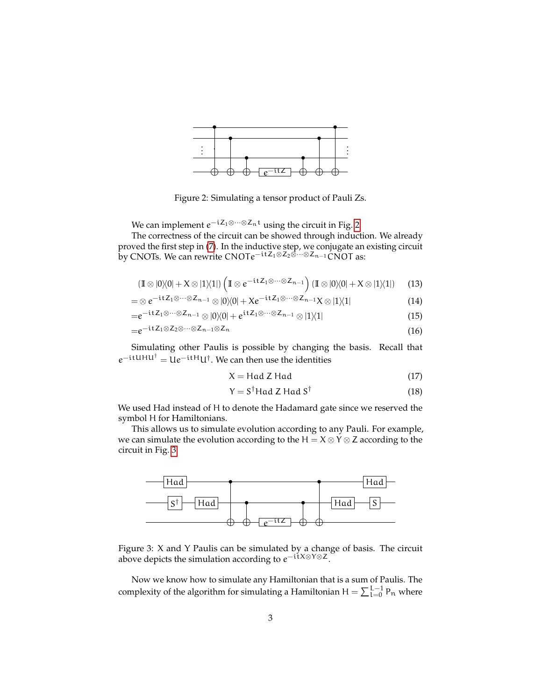<span id="page-2-0"></span>

Figure 2: Simulating a tensor product of Pauli Zs.

We can implement  $e^{-\mathfrak{i} Z_1 \otimes \cdots \otimes Z_n \mathfrak{t}}$  using the circuit in Fig. [2](#page-2-0)

The correctness of the circuit can be showed through induction. We already proved the first step in [\(7\)](#page-1-0). In the inductive step, we conjugate an existing circuit by CNOTs. We can rewrite CNOTe−itZ1⊗Z2⊗···⊗Zn−1CNOT as:

$$
(\mathbb{I} \otimes |0\rangle\!\langle 0| + X \otimes |1\rangle\!\langle 1|) \left( \mathbb{I} \otimes e^{-\mathrm{i} t Z_1 \otimes \cdots \otimes Z_{n-1}} \right) (\mathbb{I} \otimes |0\rangle\!\langle 0| + X \otimes |1\rangle\!\langle 1|) \qquad \text{(13)}
$$

$$
= \otimes e^{-itZ_1 \otimes \cdots \otimes Z_{n-1}} \otimes |0\rangle\langle 0| + X e^{-itZ_1 \otimes \cdots \otimes Z_{n-1}} X \otimes |1\rangle\langle 1|
$$
\n(14)

$$
=e^{-itZ_1\otimes\cdots\otimes Z_{n-1}}\otimes|0\rangle\langle0|+e^{itZ_1\otimes\cdots\otimes Z_{n-1}}\otimes|1\rangle\langle1|
$$
\n(15)

$$
=e^{-itZ_1\otimes Z_2\otimes\cdots\otimes Z_{n-1}\otimes Z_n}
$$
\n(16)

Simulating other Paulis is possible by changing the basis. Recall that  $e^{-itUHU^{\dagger}} = Ue^{-itH}U^{\dagger}$ . We can then use the identities

$$
X = Had Z Had
$$
 (17)

$$
Y = S^{\dagger} \text{Had } Z \text{ Had } S^{\dagger} \tag{18}
$$

We used Had instead of H to denote the Hadamard gate since we reserved the symbol H for Hamiltonians.

This allows us to simulate evolution according to any Pauli. For example, we can simulate the evolution according to the H =  $X \otimes Y \otimes Z$  according to the circuit in Fig. [3.](#page-2-1)

<span id="page-2-1"></span>

Figure 3: X and Y Paulis can be simulated by a change of basis. The circuit above depicts the simulation according to  $e^{-i\tilde{\mathsf{t}}X\otimes Y\otimes Z}$ .

Now we know how to simulate any Hamiltonian that is a sum of Paulis. The complexity of the algorithm for simulating a Hamiltonian  $H = \sum_{l=0}^{L-1} P_n$  where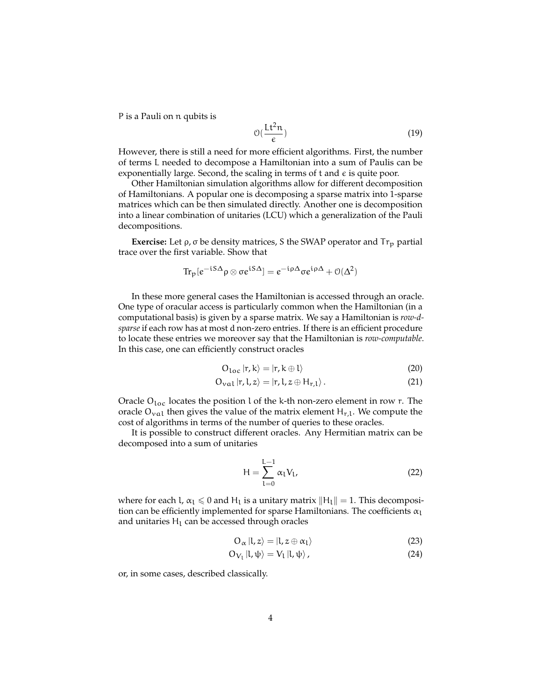P is a Pauli on n qubits is

$$
\mathcal{O}\left(\frac{\mathrm{Lt}^2 n}{\epsilon}\right) \tag{19}
$$

However, there is still a need for more efficient algorithms. First, the number of terms L needed to decompose a Hamiltonian into a sum of Paulis can be exponentially large. Second, the scaling in terms of  $t$  and  $\epsilon$  is quite poor.

Other Hamiltonian simulation algorithms allow for different decomposition of Hamiltonians. A popular one is decomposing a sparse matrix into 1-sparse matrices which can be then simulated directly. Another one is decomposition into a linear combination of unitaries (LCU) which a generalization of the Pauli decompositions.

**Exercise:** Let  $\rho$ ,  $\sigma$  be density matrices, S the SWAP operator and  $Tr_p$  partial trace over the first variable. Show that

$$
\text{Tr}_{p}[e^{-iS\Delta}\rho\otimes \sigma e^{iS\Delta}] = e^{-i\rho\Delta}\sigma e^{i\rho\Delta} + \mathcal{O}(\Delta^2)
$$

In these more general cases the Hamiltonian is accessed through an oracle. One type of oracular access is particularly common when the Hamiltonian (in a computational basis) is given by a sparse matrix. We say a Hamiltonian is *row-dsparse* if each row has at most d non-zero entries. If there is an efficient procedure to locate these entries we moreover say that the Hamiltonian is *row-computable*. In this case, one can efficiently construct oracles

$$
O_{loc} |r, k\rangle = |r, k \oplus l\rangle \tag{20}
$$

$$
O_{\text{val}} |r, l, z\rangle = |r, l, z \oplus H_{r,l}\rangle. \tag{21}
$$

Oracle  $O_{loc}$  locates the position l of the k-th non-zero element in row r. The oracle  $O_{\text{val}}$  then gives the value of the matrix element  $H_{r,l}$ . We compute the cost of algorithms in terms of the number of queries to these oracles.

It is possible to construct different oracles. Any Hermitian matrix can be decomposed into a sum of unitaries

$$
H = \sum_{l=0}^{L-1} \alpha_l V_l,
$$
 (22)

where for each l,  $\alpha_l \leqslant 0$  and  $H_l$  is a unitary matrix  $||H_l|| = 1$ . This decomposition can be efficiently implemented for sparse Hamiltonians. The coefficients  $\alpha_l$ and unitaries  $H_1$  can be accessed through oracles

$$
O_{\alpha} |l, z\rangle = |l, z \oplus \alpha_l\rangle \tag{23}
$$

$$
O_{V_1}|l,\psi\rangle = V_1|l,\psi\rangle, \qquad (24)
$$

or, in some cases, described classically.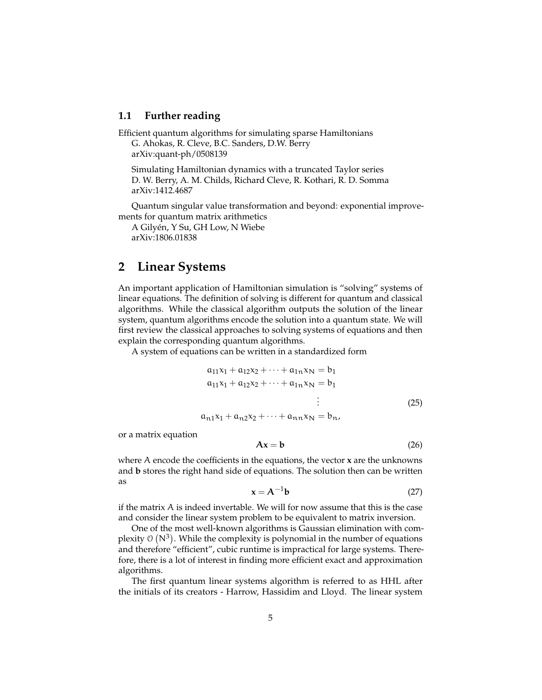### **1.1 Further reading**

Efficient quantum algorithms for simulating sparse Hamiltonians G. Ahokas, R. Cleve, B.C. Sanders, D.W. Berry arXiv:quant-ph/0508139

Simulating Hamiltonian dynamics with a truncated Taylor series D. W. Berry, A. M. Childs, Richard Cleve, R. Kothari, R. D. Somma arXiv:1412.4687

Quantum singular value transformation and beyond: exponential improvements for quantum matrix arithmetics

A Gilyen, Y Su, GH Low, N Wiebe ´ arXiv:1806.01838

### **2 Linear Systems**

An important application of Hamiltonian simulation is "solving" systems of linear equations. The definition of solving is different for quantum and classical algorithms. While the classical algorithm outputs the solution of the linear system, quantum algorithms encode the solution into a quantum state. We will first review the classical approaches to solving systems of equations and then explain the corresponding quantum algorithms.

A system of equations can be written in a standardized form

$$
a_{11}x_1 + a_{12}x_2 + \dots + a_{1n}x_N = b_1
$$
  
\n
$$
a_{11}x_1 + a_{12}x_2 + \dots + a_{1n}x_N = b_1
$$
  
\n
$$
\vdots
$$
  
\n
$$
a_{n1}x_1 + a_{n2}x_2 + \dots + a_{nn}x_N = b_n,
$$
  
\n(25)

or a matrix equation

$$
Ax = b \tag{26}
$$

where A encode the coefficients in the equations, the vector **x** are the unknowns and **b** stores the right hand side of equations. The solution then can be written as

$$
\mathbf{x} = \mathbf{A}^{-1} \mathbf{b} \tag{27}
$$

if the matrix  $A$  is indeed invertable. We will for now assume that this is the case and consider the linear system problem to be equivalent to matrix inversion.

One of the most well-known algorithms is Gaussian elimination with complexity  $\mathfrak{O}(N^3)$ . While the complexity is polynomial in the number of equations and therefore "efficient", cubic runtime is impractical for large systems. Therefore, there is a lot of interest in finding more efficient exact and approximation algorithms.

The first quantum linear systems algorithm is referred to as HHL after the initials of its creators - Harrow, Hassidim and Lloyd. The linear system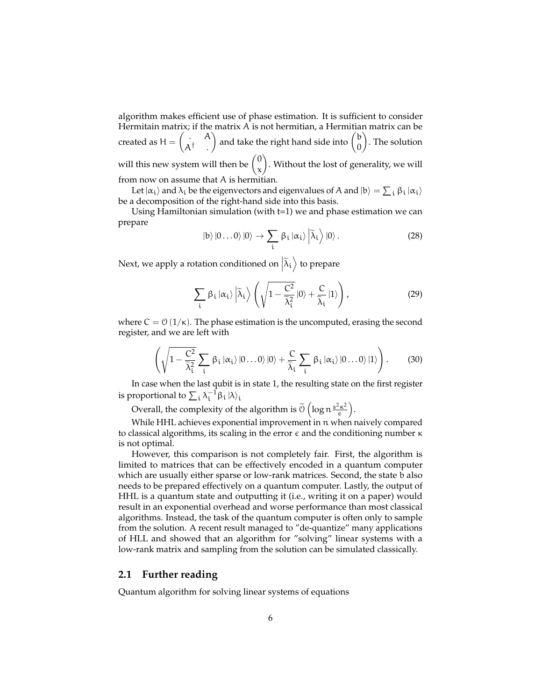algorithm makes efficient use of phase estimation. It is sufficient to consider Hermitain matrix; if the matrix A is not hermitian, a Hermitian matrix can be created as  $H = \begin{pmatrix} 1 & A \\ 0 & A \end{pmatrix}$  $\mathsf{A}^\dagger$  . ) and take the right hand side into  $\begin{pmatrix} b \\ 0 \end{pmatrix}$ 0 . The solution will this new system will then be  $\binom{0}{r}$ x . Without the lost of generality, we will from now on assume that A is hermitian.

Let  $|\alpha_i\rangle$  and  $\lambda_i$  be the eigenvectors and eigenvalues of A and  $|b\rangle=\sum_i \beta_i | \alpha_i\rangle$ be a decomposition of the right-hand side into this basis.

Using Hamiltonian simulation (with t=1) we and phase estimation we can prepare

$$
|b\rangle|0\ldots0\rangle|0\rangle \rightarrow \sum_{i} \beta_{i} |\alpha_{i}\rangle |\tilde{\lambda}_{i}\rangle|0\rangle.
$$
 (28)

Next, we apply a rotation conditioned on  $\left| \widetilde{\lambda}_\mathfrak{t} \right\rangle$  to prepare

$$
\sum_{i} \beta_{i} |\alpha_{i}\rangle \left| \widetilde{\lambda}_{i} \right\rangle \left( \sqrt{1 - \frac{C^{2}}{\widetilde{\lambda}_{i}^{2}}} |0\rangle + \frac{C}{\widetilde{\lambda}_{i}} |1\rangle \right), \tag{29}
$$

where  $C = \mathcal{O}(1/\kappa)$ . The phase estimation is the uncomputed, erasing the second register, and we are left with

$$
\left(\sqrt{1-\frac{C^2}{\widetilde{\lambda}_i^2}}\sum_i \beta_i |\alpha_i\rangle |0\ldots 0\rangle |0\rangle + \frac{C}{\widetilde{\lambda}_i}\sum_i \beta_i |\alpha_i\rangle |0\ldots 0\rangle |1\rangle\right).
$$
 (30)

In case when the last qubit is in state 1, the resulting state on the first register is proportional to  $\sum_i \lambda_i^{-1} \beta_i |\lambda\rangle_i$ 

Overall, the complexity of the algorithm is  $\widetilde{0}\left(\log n\frac{s^2\kappa^2}{\epsilon}\right)$  $\frac{e^{2}\kappa^{2}}{\epsilon}$ ).

While HHL achieves exponential improvement in n when naively compared to classical algorithms, its scaling in the error  $ε$  and the conditioning number  $κ$ is not optimal.

However, this comparison is not completely fair. First, the algorithm is limited to matrices that can be effectively encoded in a quantum computer which are usually either sparse or low-rank matrices. Second, the state b also needs to be prepared effectively on a quantum computer. Lastly, the output of HHL is a quantum state and outputting it (i.e., writing it on a paper) would result in an exponential overhead and worse performance than most classical algorithms. Instead, the task of the quantum computer is often only to sample from the solution. A recent result managed to "de-quantize" many applications of HLL and showed that an algorithm for "solving" linear systems with a low-rank matrix and sampling from the solution can be simulated classically.

#### **2.1 Further reading**

Quantum algorithm for solving linear systems of equations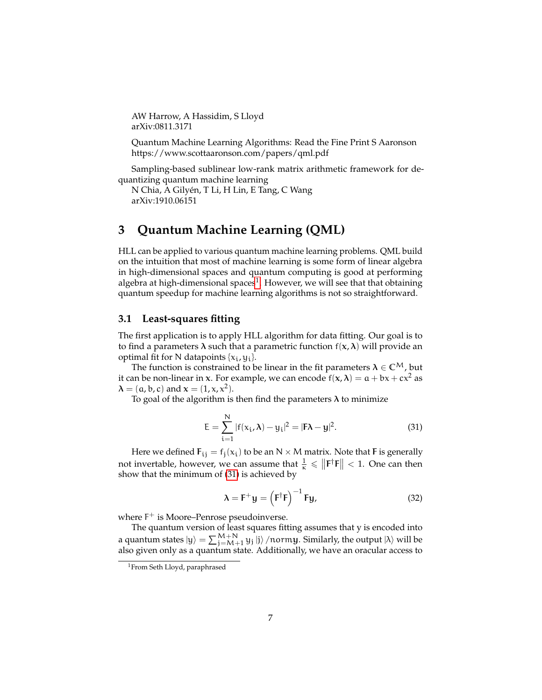AW Harrow, A Hassidim, S Lloyd arXiv:0811.3171

Quantum Machine Learning Algorithms: Read the Fine Print S Aaronson https://www.scottaaronson.com/papers/qml.pdf

Sampling-based sublinear low-rank matrix arithmetic framework for dequantizing quantum machine learning

N Chia, A Gilyen, T Li, H Lin, E Tang, C Wang ´ arXiv:1910.06151

# **3 Quantum Machine Learning (QML)**

HLL can be applied to various quantum machine learning problems. QML build on the intuition that most of machine learning is some form of linear algebra in high-dimensional spaces and quantum computing is good at performing algebra at high-dimensional spaces<sup>[1](#page-6-0)</sup>. However, we will see that that obtaining quantum speedup for machine learning algorithms is not so straightforward.

### **3.1 Least-squares fitting**

The first application is to apply HLL algorithm for data fitting. Our goal is to to find a parameters  $\lambda$  such that a parametric function  $f(x, \lambda)$  will provide an optimal fit for N datapoints  $\{x_i, y_i\}$ .

The function is constrained to be linear in the fit parameters  $\lambda \in \mathbb{C}^{\mathsf{M}}$ , but it can be non-linear in x. For example, we can encode  $f(x, \lambda) = a + bx + cx^2$  as  $\lambda = (\alpha, \mathbf{b}, \mathbf{c})$  and  $\mathbf{x} = (1, \mathbf{x}, \mathbf{x}^2)$ .

To goal of the algorithm is then find the parameters  $\lambda$  to minimize

<span id="page-6-1"></span>
$$
E = \sum_{i=1}^{N} |f(x_i, \lambda) - y_i|^2 = |F\lambda - y|^2.
$$
 (31)

Here we defined  $F_{ij} = f_j(x_i)$  to be an N  $\times$  M matrix. Note that **F** is generally not invertable, however, we can assume that  $\frac{1}{\kappa} \leq \|\mathbf{F}^{\dagger}\mathbf{F}\| < 1$ . One can then show that the minimum of [\(31\)](#page-6-1) is achieved by

$$
\lambda = \mathbf{F}^+ \mathbf{y} = \left(\mathbf{F}^\dagger \mathbf{F}\right)^{-1} \mathbf{F} \mathbf{y},\tag{32}
$$

where  $F^+$  is Moore–Penrose pseudoinverse.

The quantum version of least squares fitting assumes that y is encoded into a quantum states  $\ket{\mathsf{y}} = \sum_{\mathsf{j}=M+1}^{M+N} \mathsf{y}_\mathsf{j} \ket{\mathsf{j}}$  /norm $\mathsf{y}.$  Similarly, the output  $\ket{\lambda}$  will be also given only as a quantum state. Additionally, we have an oracular access to

<span id="page-6-0"></span><sup>&</sup>lt;sup>1</sup>From Seth Lloyd, paraphrased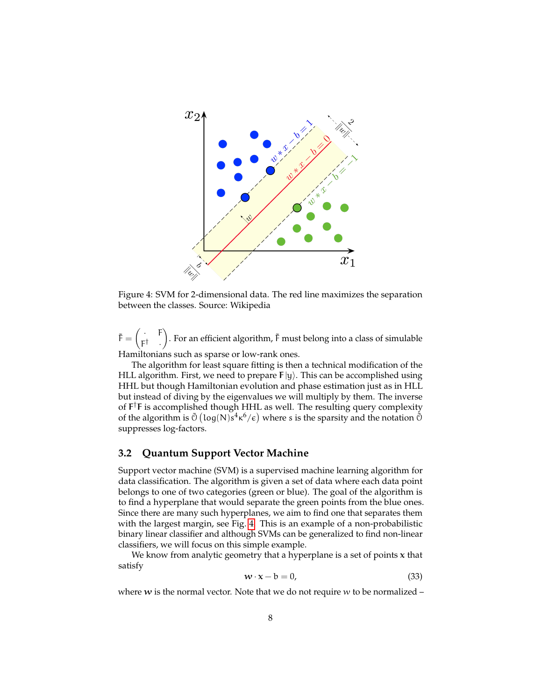<span id="page-7-0"></span>

Figure 4: SVM for 2-dimensional data. The red line maximizes the separation between the classes. Source: Wikipedia

 $\tilde{F} = \begin{pmatrix} . & F \\ -1 & \end{pmatrix}$ F † · ). For an efficient algorithm,  $\tilde{F}$  must belong into a class of simulable Hamiltonians such as sparse or low-rank ones.

The algorithm for least square fitting is then a technical modification of the HLL algorithm. First, we need to prepare  $F|y\rangle$ . This can be accomplished using HHL but though Hamiltonian evolution and phase estimation just as in HLL but instead of diving by the eigenvalues we will multiply by them. The inverse of F †F is accomplished though HHL as well. The resulting query complexity of the algorithm is  $\tilde{O}$  (log(N)s<sup>4</sup> $\kappa^6/\epsilon$ ) where s is the sparsity and the notation  $\tilde{O}$ suppresses log-factors.

### **3.2 Quantum Support Vector Machine**

Support vector machine (SVM) is a supervised machine learning algorithm for data classification. The algorithm is given a set of data where each data point belongs to one of two categories (green or blue). The goal of the algorithm is to find a hyperplane that would separate the green points from the blue ones. Since there are many such hyperplanes, we aim to find one that separates them with the largest margin, see Fig. [4.](#page-7-0) This is an example of a non-probabilistic binary linear classifier and although SVMs can be generalized to find non-linear classifiers, we will focus on this simple example.

We know from analytic geometry that a hyperplane is a set of points  $x$  that satisfy

$$
\mathbf{w} \cdot \mathbf{x} - \mathbf{b} = 0,\tag{33}
$$

where  $w$  is the normal vector. Note that we do not require  $w$  to be normalized –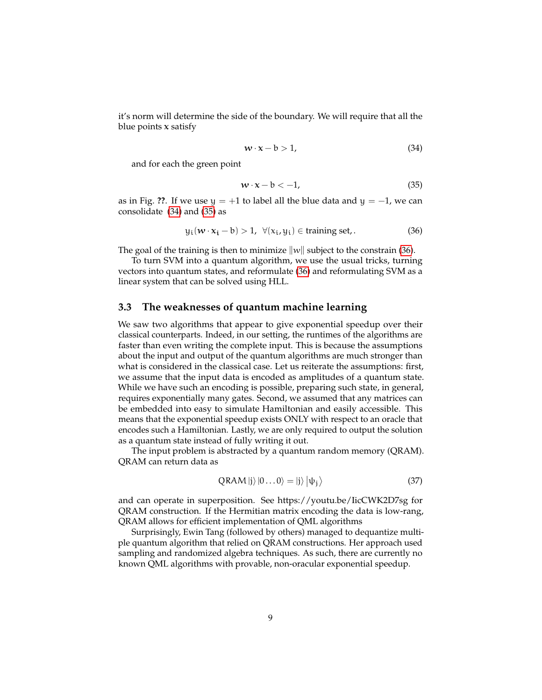it's norm will determine the side of the boundary. We will require that all the blue points  $x$  satisfy

<span id="page-8-0"></span>
$$
w \cdot x - b > 1,\tag{34}
$$

and for each the green point

<span id="page-8-1"></span>
$$
w \cdot x - b < -1,\tag{35}
$$

as in Fig. **??**. If we use  $y = +1$  to label all the blue data and  $y = -1$ , we can consolidate [\(34\)](#page-8-0) and [\(35\)](#page-8-1) as

<span id="page-8-2"></span>
$$
y_i(\mathbf{w} \cdot \mathbf{x_i} - \mathbf{b}) > 1, \ \forall (x_i, y_i) \in \text{training set.}
$$
 (36)

The goal of the training is then to minimize  $\|w\|$  subject to the constrain [\(36\)](#page-8-2).

To turn SVM into a quantum algorithm, we use the usual tricks, turning vectors into quantum states, and reformulate [\(36\)](#page-8-2) and reformulating SVM as a linear system that can be solved using HLL.

### **3.3 The weaknesses of quantum machine learning**

We saw two algorithms that appear to give exponential speedup over their classical counterparts. Indeed, in our setting, the runtimes of the algorithms are faster than even writing the complete input. This is because the assumptions about the input and output of the quantum algorithms are much stronger than what is considered in the classical case. Let us reiterate the assumptions: first, we assume that the input data is encoded as amplitudes of a quantum state. While we have such an encoding is possible, preparing such state, in general, requires exponentially many gates. Second, we assumed that any matrices can be embedded into easy to simulate Hamiltonian and easily accessible. This means that the exponential speedup exists ONLY with respect to an oracle that encodes such a Hamiltonian. Lastly, we are only required to output the solution as a quantum state instead of fully writing it out.

The input problem is abstracted by a quantum random memory (QRAM). QRAM can return data as

$$
QRAM |j\rangle |0...0\rangle = |j\rangle | \psi_j\rangle
$$
 (37)

and can operate in superposition. See https://youtu.be/IicCWK2D7sg for QRAM construction. If the Hermitian matrix encoding the data is low-rang, QRAM allows for efficient implementation of QML algorithms

Surprisingly, Ewin Tang (followed by others) managed to dequantize multiple quantum algorithm that relied on QRAM constructions. Her approach used sampling and randomized algebra techniques. As such, there are currently no known QML algorithms with provable, non-oracular exponential speedup.